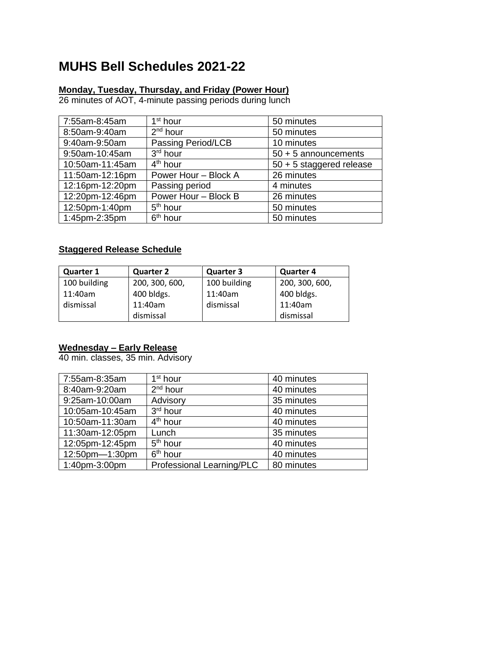# **MUHS Bell Schedules 2021-22**

### **Monday, Tuesday, Thursday, and Friday (Power Hour)**

26 minutes of AOT, 4-minute passing periods during lunch

| 7:55am-8:45am   | 1 <sup>st</sup> hour | 50 minutes                 |
|-----------------|----------------------|----------------------------|
| 8:50am-9:40am   | 2 <sup>nd</sup> hour | 50 minutes                 |
| 9:40am-9:50am   | Passing Period/LCB   | 10 minutes                 |
| 9:50am-10:45am  | 3 <sup>rd</sup> hour | $50 + 5$ announcements     |
| 10:50am-11:45am | $4th$ hour           | $50 + 5$ staggered release |
| 11:50am-12:16pm | Power Hour - Block A | 26 minutes                 |
| 12:16pm-12:20pm | Passing period       | 4 minutes                  |
| 12:20pm-12:46pm | Power Hour - Block B | 26 minutes                 |
| 12:50pm-1:40pm  | 5 <sup>th</sup> hour | 50 minutes                 |
| 1:45pm-2:35pm   | 6 <sup>th</sup> hour | 50 minutes                 |

### **Staggered Release Schedule**

| <b>Quarter 1</b> | <b>Quarter 2</b> | <b>Quarter 3</b> | <b>Quarter 4</b> |
|------------------|------------------|------------------|------------------|
| 100 building     | 200, 300, 600,   | 100 building     | 200, 300, 600,   |
| 11:40am          | 400 bldgs.       | 11:40am          | 400 bldgs.       |
| dismissal        | 11:40am          | dismissal        | 11:40am          |
|                  | dismissal        |                  | dismissal        |

### **Wednesday – Early Release**

40 min. classes, 35 min. Advisory

| 7:55am-8:35am   | 1 <sup>st</sup> hour      | 40 minutes |
|-----------------|---------------------------|------------|
| 8:40am-9:20am   | $2nd$ hour                | 40 minutes |
| 9:25am-10:00am  | Advisory                  | 35 minutes |
| 10:05am-10:45am | 3rd hour                  | 40 minutes |
| 10:50am-11:30am | 4 <sup>th</sup> hour      | 40 minutes |
| 11:30am-12:05pm | Lunch                     | 35 minutes |
| 12:05pm-12:45pm | 5 <sup>th</sup> hour      | 40 minutes |
| 12:50pm-1:30pm  | 6 <sup>th</sup> hour      | 40 minutes |
| 1:40pm-3:00pm   | Professional Learning/PLC | 80 minutes |